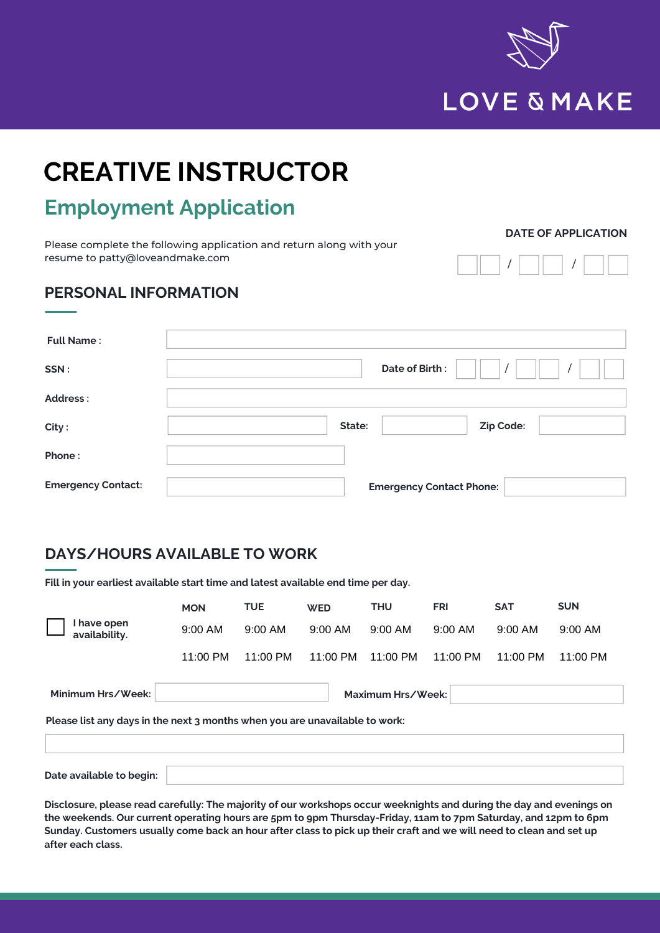

# **CREATIVE INSTRUCTOR**

## **Employment Application**

Please complete the following application and return along with your resume to patty@loveandmake.com

#### **DATE OF APPLICATION**

/ | | |

#### **PERSONAL INFORMATION**

| <b>Full Name:</b>         |                                 |
|---------------------------|---------------------------------|
| SSN:                      | Date of Birth:                  |
| <b>Address:</b>           |                                 |
| City:                     | Zip Code:<br>State:             |
| Phone:                    |                                 |
| <b>Emergency Contact:</b> | <b>Emergency Contact Phone:</b> |

#### **DAYS/HOURS AVAILABLE TO WORK**

**Fill in your earliest available start time and latest available end time per day.**

|                                        | <b>MON</b>                                                                  | <b>TUE</b> | <b>WED</b> | <b>THU</b> | <b>FRI</b>         | <b>SAT</b> | <b>SUN</b> |  |
|----------------------------------------|-----------------------------------------------------------------------------|------------|------------|------------|--------------------|------------|------------|--|
| I have open<br>availability.           | 9:00 AM                                                                     | 9:00 AM    | 9:00 AM    | 9:00 AM    | 9:00 AM            | 9:00 AM    | 9:00 AM    |  |
|                                        | 11:00 PM                                                                    | 11:00 PM   | 11:00 PM   | 11:00 PM   | $11:00 \text{ PM}$ | 11:00 PM   | 11:00 PM   |  |
| Minimum Hrs/Week:<br>Maximum Hrs/Week: |                                                                             |            |            |            |                    |            |            |  |
|                                        | Please list any days in the next 3 months when you are unavailable to work: |            |            |            |                    |            |            |  |
|                                        |                                                                             |            |            |            |                    |            |            |  |
| Date available to begin:               |                                                                             |            |            |            |                    |            |            |  |

**Disclosure, please read carefully: The majority of our workshops occur weeknights and during the day and evenings on the weekends. Our current operating hours are 5pm to 9pm Thursday-Friday, 11am to 7pm Saturday, and 12pm to 6pm Sunday. Customers usually come back an hour after class to pick up their craft and we will need to clean and set up after each class.**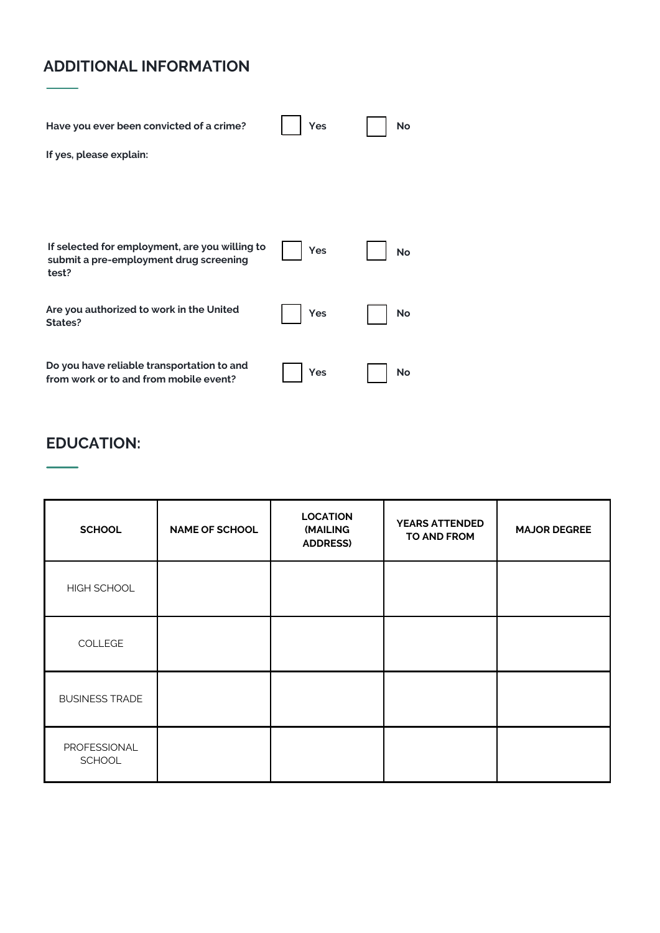### **ADDITIONAL INFORMATION**

| Have you ever been convicted of a crime?                                                          | Yes | <b>No</b> |
|---------------------------------------------------------------------------------------------------|-----|-----------|
| If yes, please explain:                                                                           |     |           |
|                                                                                                   |     |           |
|                                                                                                   |     |           |
| If selected for employment, are you willing to<br>submit a pre-employment drug screening<br>test? | Yes | No        |
| Are you authorized to work in the United<br>States?                                               | Yes | No        |
|                                                                                                   |     |           |
| Do you have reliable transportation to and<br>from work or to and from mobile event?              | Yes | No        |

#### **EDUCATION:**

| <b>SCHOOL</b>                 | <b>NAME OF SCHOOL</b> | <b>LOCATION</b><br>(MAILING<br><b>ADDRESS)</b> | <b>YEARS ATTENDED</b><br>TO AND FROM | <b>MAJOR DEGREE</b> |
|-------------------------------|-----------------------|------------------------------------------------|--------------------------------------|---------------------|
| HIGH SCHOOL                   |                       |                                                |                                      |                     |
| COLLEGE                       |                       |                                                |                                      |                     |
| <b>BUSINESS TRADE</b>         |                       |                                                |                                      |                     |
| PROFESSIONAL<br><b>SCHOOL</b> |                       |                                                |                                      |                     |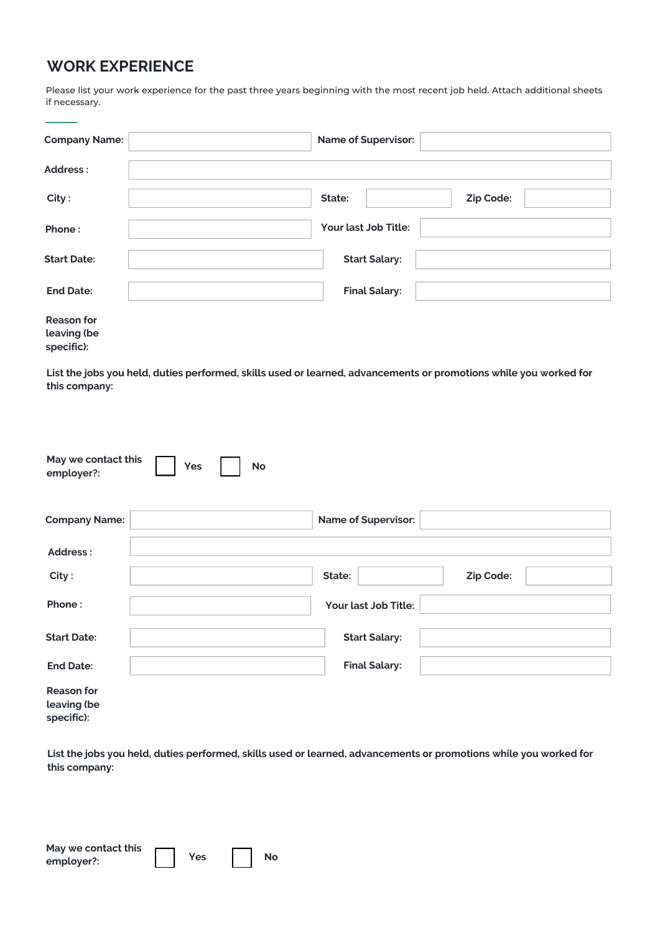#### **WORK EXPERIENCE**

Please list your work experience for the past three years beginning with the most recent job held. Attach additional sheets if necessary.

| <b>Company Name:</b>             | <b>Name of Supervisor:</b> |  |
|----------------------------------|----------------------------|--|
| Address:                         |                            |  |
| City:                            | Zip Code:<br>State:        |  |
| Phone:                           | Your last Job Title:       |  |
| <b>Start Date:</b>               | <b>Start Salary:</b>       |  |
| <b>End Date:</b>                 | <b>Final Salary:</b>       |  |
| <b>Reason for</b><br>leaving (be |                            |  |

**specific):**

**List the jobs you held, duties performed, skills used or learned, advancements or promotions while you worked for this company:**

| May we contact this<br>employer?:              | Yes | <b>No</b> |        |                            |           |  |
|------------------------------------------------|-----|-----------|--------|----------------------------|-----------|--|
| <b>Company Name:</b>                           |     |           |        | <b>Name of Supervisor:</b> |           |  |
| Address:                                       |     |           |        |                            |           |  |
| City:                                          |     |           | State: |                            | Zip Code: |  |
| Phone:                                         |     |           |        | Your last Job Title:       |           |  |
| <b>Start Date:</b>                             |     |           |        | <b>Start Salary:</b>       |           |  |
| <b>End Date:</b>                               |     |           |        | <b>Final Salary:</b>       |           |  |
| <b>Reason for</b><br>leaving (be<br>specific): |     |           |        |                            |           |  |

**List the jobs you held, duties performed, skills used or learned, advancements or promotions while you worked for this company:**

| May we contact this |     |           |
|---------------------|-----|-----------|
| employer?:          | Yes | <b>No</b> |